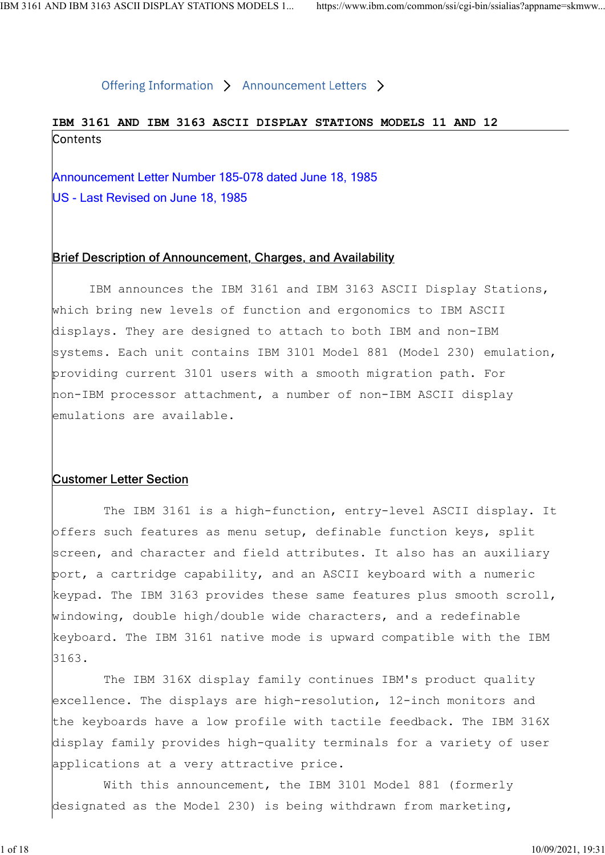# IBM 3161 AND IBM 3163 ASCII DISPLAY STATIONS MODELS 11 AND 12 ND IBM 3163 ASCII DISPLAY STATIONS MODELS 1... https://www.ibm.com/common/ssi/cgi-bin/ssialias?appname=skmww<br>
Offering Information > Announcement Letters ><br> **IBM 3161 AND IBM 3163 ASCII DISPLAY STATIONS MODELS 11 AND 12**<br>

US - Last Revised on June 18, 1985

# Brief Description of Announcement, Charges, and Availability

 IBM announces the IBM 3161 and IBM 3163 ASCII Display Stations, which bring new levels of function and ergonomics to IBM ASCII displays. They are designed to attach to both IBM and non-IBM systems. Each unit contains IBM 3101 Model 881 (Model 230) emulation, providing current 3101 users with a smooth migration path. For non-IBM processor attachment, a number of non-IBM ASCII display emulations are available.

# Customer Letter Section

 The IBM 3161 is a high-function, entry-level ASCII display. It offers such features as menu setup, definable function keys, split screen, and character and field attributes. It also has an auxiliary port, a cartridge capability, and an ASCII keyboard with a numeric keypad. The IBM 3163 provides these same features plus smooth scroll, windowing, double high/double wide characters, and a redefinable keyboard. The IBM 3161 native mode is upward compatible with the IBM 3163.

 The IBM 316X display family continues IBM's product quality excellence. The displays are high-resolution, 12-inch monitors and the keyboards have a low profile with tactile feedback. The IBM 316X display family provides high-quality terminals for a variety of user applications at a very attractive price.

 With this announcement, the IBM 3101 Model 881 (formerly designated as the Model 230) is being withdrawn from marketing,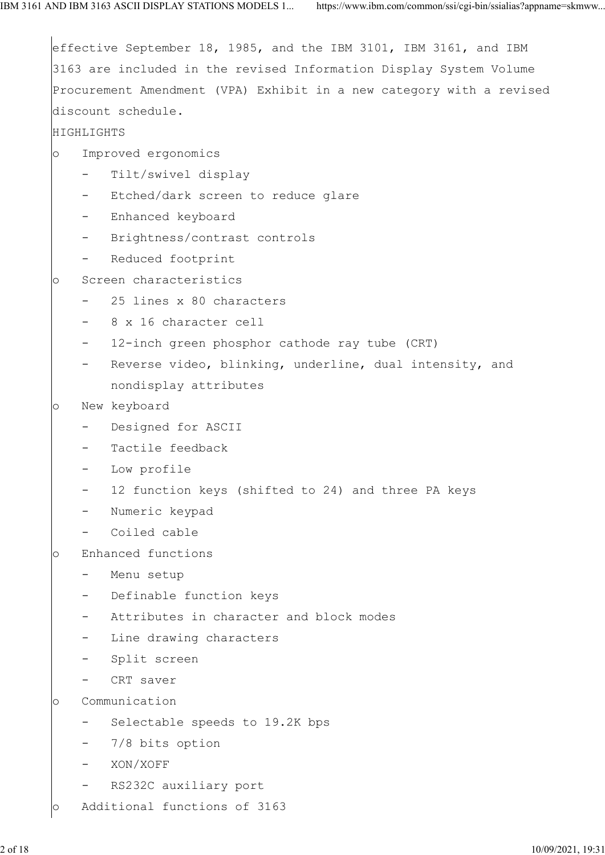|         |                          | effective September 18, 1985, and the IBM 3101, IBM 3161, and IBM    |
|---------|--------------------------|----------------------------------------------------------------------|
|         |                          | 3163 are included in the revised Information Display System Volume   |
|         |                          | Procurement Amendment (VPA) Exhibit in a new category with a revised |
|         |                          | discount schedule.                                                   |
|         | HIGHLIGHTS               |                                                                      |
| $\circ$ |                          | Improved ergonomics                                                  |
|         | $\sim$                   | Tilt/swivel display                                                  |
|         | $-$                      | Etched/dark screen to reduce glare                                   |
|         |                          | Enhanced keyboard                                                    |
|         | $\qquad \qquad -$        | Brightness/contrast controls                                         |
|         |                          | Reduced footprint                                                    |
| $\circ$ |                          | Screen characteristics                                               |
|         | $\sim$                   | 25 lines x 80 characters                                             |
|         | $\equiv$                 | 8 x 16 character cell                                                |
|         | $\overline{\phantom{m}}$ | 12-inch green phosphor cathode ray tube (CRT)                        |
|         | $\qquad \qquad -$        | Reverse video, blinking, underline, dual intensity, and              |
|         |                          | nondisplay attributes                                                |
| $\circ$ |                          | New keyboard                                                         |
|         | $\qquad \qquad -$        | Designed for ASCII                                                   |
|         |                          | Tactile feedback                                                     |
|         |                          | Low profile                                                          |
|         |                          | 12 function keys (shifted to 24) and three PA keys                   |
|         |                          | Numeric keypad                                                       |
|         |                          | Coiled cable                                                         |
| $\circ$ |                          | Enhanced functions                                                   |
|         | $\overline{\phantom{0}}$ | Menu setup                                                           |
|         | $\qquad \qquad -$        | Definable function keys                                              |
|         | $\overline{\phantom{m}}$ | Attributes in character and block modes                              |
|         | $\overline{\phantom{m}}$ | Line drawing characters                                              |
|         |                          | Split screen                                                         |
|         |                          | CRT saver                                                            |
| $\circ$ |                          | Communication                                                        |
|         | $\qquad \qquad -$        | Selectable speeds to 19.2K bps                                       |
|         | $\qquad \qquad -$        | 7/8 bits option                                                      |
|         |                          | XON/XOFF                                                             |
|         | $\qquad \qquad =$        | RS232C auxiliary port                                                |
| O       |                          | Additional functions of 3163                                         |
|         |                          |                                                                      |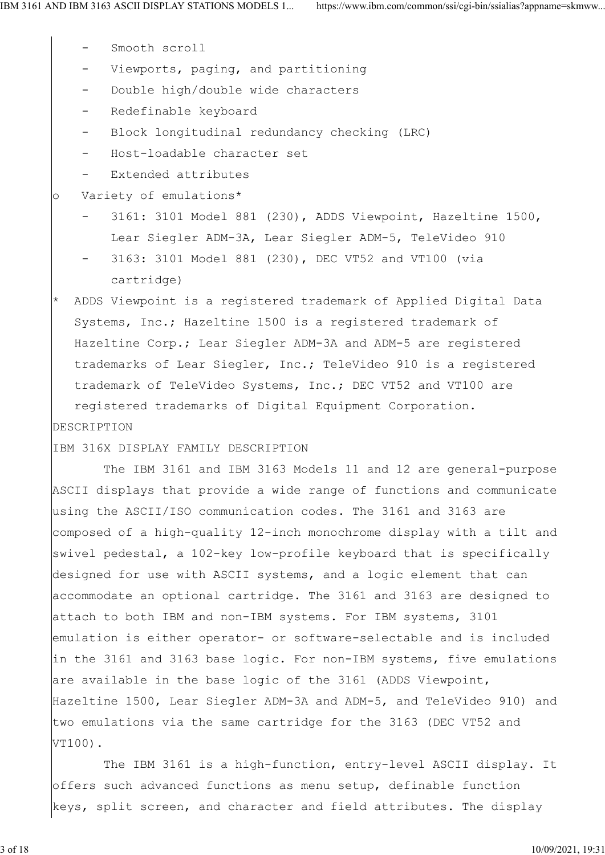- Smooth scroll
- Viewports, paging, and partitioning
- Double high/double wide characters
- Redefinable keyboard
- Block longitudinal redundancy checking (LRC)
- Host-loadable character set
- Extended attributes

# o Variety of emulations\*

- 3161: 3101 Model 881 (230), ADDS Viewpoint, Hazeltine 1500, Lear Siegler ADM-3A, Lear Siegler ADM-5, TeleVideo 910
- 3163: 3101 Model 881 (230), DEC VT52 and VT100 (via cartridge)
- ADDS Viewpoint is a registered trademark of Applied Digital Data Systems, Inc.; Hazeltine 1500 is a registered trademark of Hazeltine Corp.; Lear Siegler ADM-3A and ADM-5 are registered trademarks of Lear Siegler, Inc.; TeleVideo 910 is a registered trademark of TeleVideo Systems, Inc.; DEC VT52 and VT100 are registered trademarks of Digital Equipment Corporation. DESCRIPTION

IBM 316X DISPLAY FAMILY DESCRIPTION

 The IBM 3161 and IBM 3163 Models 11 and 12 are general-purpose ASCII displays that provide a wide range of functions and communicate using the ASCII/ISO communication codes. The 3161 and 3163 are composed of a high-quality 12-inch monochrome display with a tilt and swivel pedestal, a 102-key low-profile keyboard that is specifically designed for use with ASCII systems, and a logic element that can accommodate an optional cartridge. The 3161 and 3163 are designed to attach to both IBM and non-IBM systems. For IBM systems, 3101 emulation is either operator- or software-selectable and is included in the 3161 and 3163 base logic. For non-IBM systems, five emulations are available in the base logic of the 3161 (ADDS Viewpoint, Hazeltine 1500, Lear Siegler ADM-3A and ADM-5, and TeleVideo 910) and two emulations via the same cartridge for the 3163 (DEC VT52 and VT100).

 The IBM 3161 is a high-function, entry-level ASCII display. It offers such advanced functions as menu setup, definable function keys, split screen, and character and field attributes. The display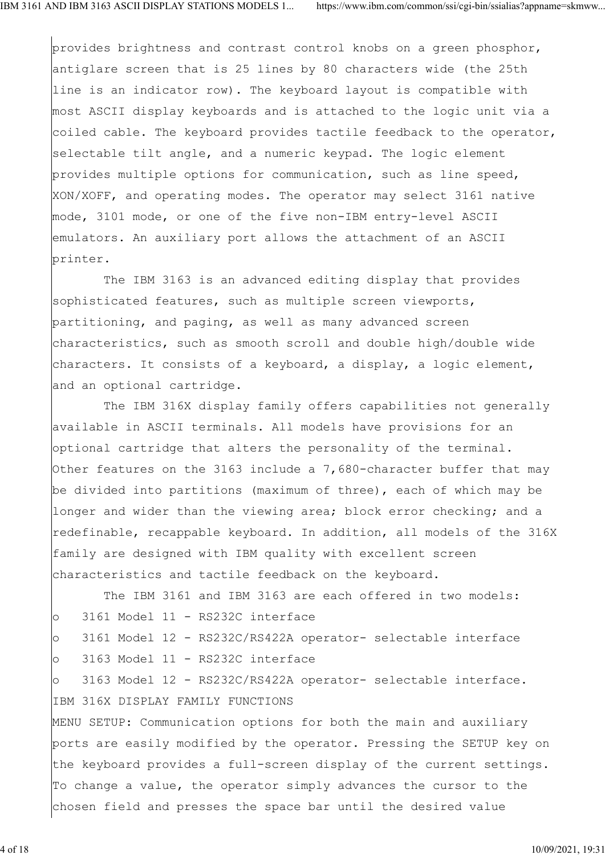provides brightness and contrast control knobs on a green phosphor, antiglare screen that is 25 lines by 80 characters wide (the 25th line is an indicator row). The keyboard layout is compatible with most ASCII display keyboards and is attached to the logic unit via a coiled cable. The keyboard provides tactile feedback to the operator, selectable tilt angle, and a numeric keypad. The logic element provides multiple options for communication, such as line speed, XON/XOFF, and operating modes. The operator may select 3161 native mode, 3101 mode, or one of the five non-IBM entry-level ASCII emulators. An auxiliary port allows the attachment of an ASCII printer.

 The IBM 3163 is an advanced editing display that provides sophisticated features, such as multiple screen viewports, partitioning, and paging, as well as many advanced screen characteristics, such as smooth scroll and double high/double wide characters. It consists of a keyboard, a display, a logic element, and an optional cartridge.

 The IBM 316X display family offers capabilities not generally available in ASCII terminals. All models have provisions for an optional cartridge that alters the personality of the terminal. Other features on the 3163 include a 7,680-character buffer that may be divided into partitions (maximum of three), each of which may be longer and wider than the viewing area; block error checking; and a redefinable, recappable keyboard. In addition, all models of the 316X family are designed with IBM quality with excellent screen characteristics and tactile feedback on the keyboard.

 The IBM 3161 and IBM 3163 are each offered in two models: o 3161 Model 11 - RS232C interface

o 3161 Model 12 - RS232C/RS422A operator- selectable interface

o 3163 Model 11 - RS232C interface

o 3163 Model 12 - RS232C/RS422A operator- selectable interface. IBM 316X DISPLAY FAMILY FUNCTIONS

MENU SETUP: Communication options for both the main and auxiliary ports are easily modified by the operator. Pressing the SETUP key on the keyboard provides a full-screen display of the current settings. To change a value, the operator simply advances the cursor to the chosen field and presses the space bar until the desired value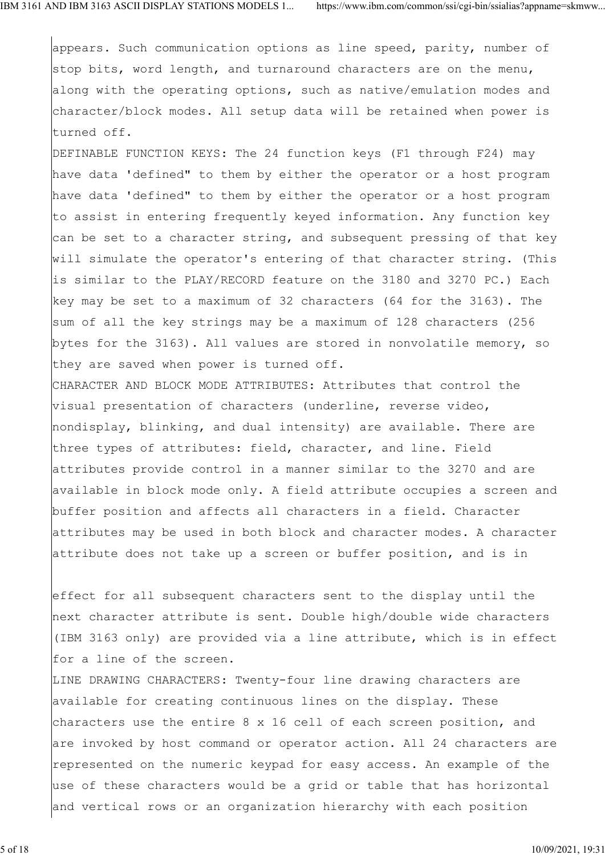appears. Such communication options as line speed, parity, number of stop bits, word length, and turnaround characters are on the menu, along with the operating options, such as native/emulation modes and character/block modes. All setup data will be retained when power is turned off.

DEFINABLE FUNCTION KEYS: The 24 function keys (F1 through F24) may have data 'defined" to them by either the operator or a host program have data 'defined" to them by either the operator or a host program to assist in entering frequently keyed information. Any function key can be set to a character string, and subsequent pressing of that key will simulate the operator's entering of that character string. (This is similar to the PLAY/RECORD feature on the 3180 and 3270 PC.) Each key may be set to a maximum of 32 characters (64 for the 3163). The sum of all the key strings may be a maximum of 128 characters (256 bytes for the 3163). All values are stored in nonvolatile memory, so they are saved when power is turned off.

CHARACTER AND BLOCK MODE ATTRIBUTES: Attributes that control the visual presentation of characters (underline, reverse video, nondisplay, blinking, and dual intensity) are available. There are three types of attributes: field, character, and line. Field attributes provide control in a manner similar to the 3270 and are available in block mode only. A field attribute occupies a screen and buffer position and affects all characters in a field. Character attributes may be used in both block and character modes. A character attribute does not take up a screen or buffer position, and is in

effect for all subsequent characters sent to the display until the next character attribute is sent. Double high/double wide characters (IBM 3163 only) are provided via a line attribute, which is in effect for a line of the screen.

LINE DRAWING CHARACTERS: Twenty-four line drawing characters are available for creating continuous lines on the display. These characters use the entire 8 x 16 cell of each screen position, and are invoked by host command or operator action. All 24 characters are represented on the numeric keypad for easy access. An example of the use of these characters would be a grid or table that has horizontal and vertical rows or an organization hierarchy with each position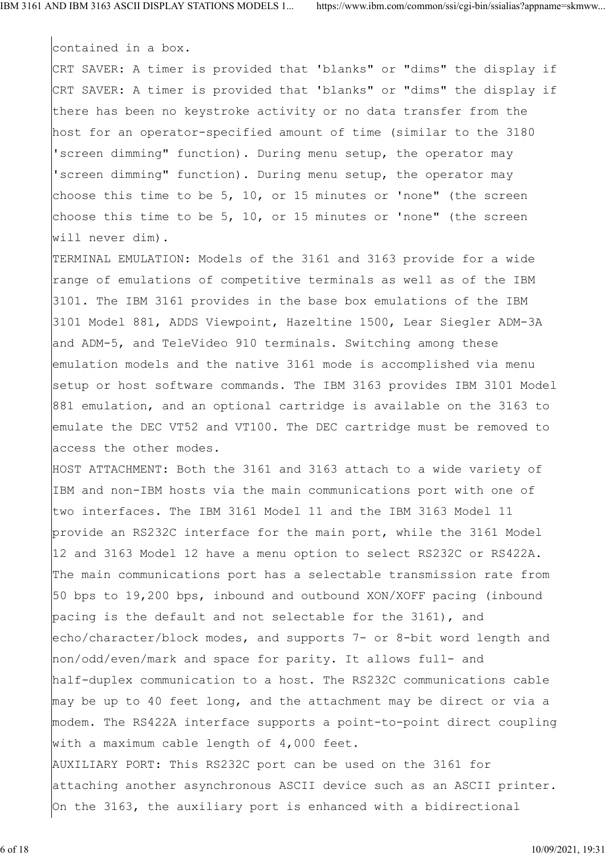contained in a box.

CRT SAVER: A timer is provided that 'blanks" or "dims" the display if CRT SAVER: A timer is provided that 'blanks" or "dims" the display if there has been no keystroke activity or no data transfer from the host for an operator-specified amount of time (similar to the 3180 'screen dimming" function). During menu setup, the operator may 'screen dimming" function). During menu setup, the operator may choose this time to be 5, 10, or 15 minutes or 'none" (the screen choose this time to be 5, 10, or 15 minutes or 'none" (the screen will never dim).

TERMINAL EMULATION: Models of the 3161 and 3163 provide for a wide range of emulations of competitive terminals as well as of the IBM 3101. The IBM 3161 provides in the base box emulations of the IBM 3101 Model 881, ADDS Viewpoint, Hazeltine 1500, Lear Siegler ADM-3A and ADM-5, and TeleVideo 910 terminals. Switching among these emulation models and the native 3161 mode is accomplished via menu setup or host software commands. The IBM 3163 provides IBM 3101 Model 881 emulation, and an optional cartridge is available on the 3163 to emulate the DEC VT52 and VT100. The DEC cartridge must be removed to access the other modes.

HOST ATTACHMENT: Both the 3161 and 3163 attach to a wide variety of IBM and non-IBM hosts via the main communications port with one of two interfaces. The IBM 3161 Model 11 and the IBM 3163 Model 11 provide an RS232C interface for the main port, while the 3161 Model 12 and 3163 Model 12 have a menu option to select RS232C or RS422A. The main communications port has a selectable transmission rate from 50 bps to 19,200 bps, inbound and outbound XON/XOFF pacing (inbound pacing is the default and not selectable for the 3161), and echo/character/block modes, and supports 7- or 8-bit word length and non/odd/even/mark and space for parity. It allows full- and half-duplex communication to a host. The RS232C communications cable may be up to 40 feet long, and the attachment may be direct or via a modem. The RS422A interface supports a point-to-point direct coupling with a maximum cable length of 4,000 feet. AUXILIARY PORT: This RS232C port can be used on the 3161 for attaching another asynchronous ASCII device such as an ASCII printer. On the 3163, the auxiliary port is enhanced with a bidirectional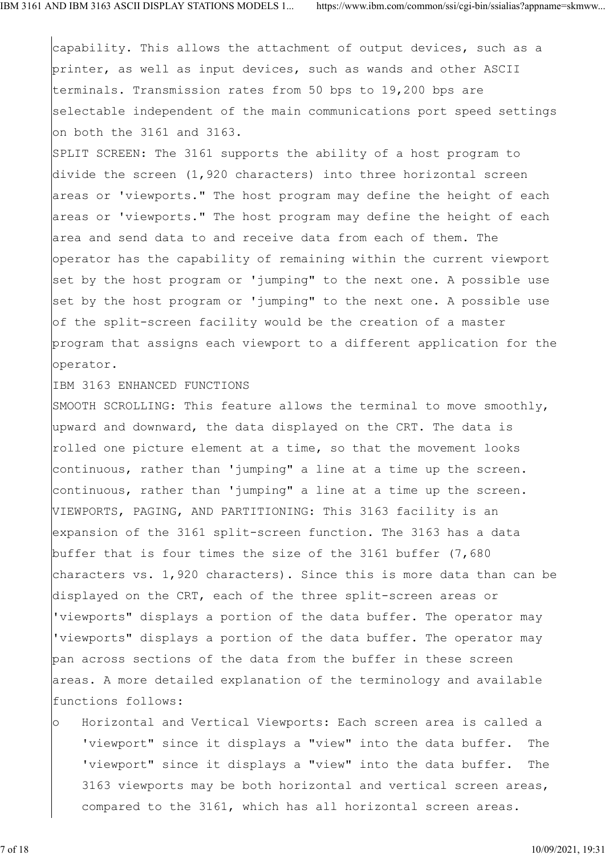capability. This allows the attachment of output devices, such as a printer, as well as input devices, such as wands and other ASCII terminals. Transmission rates from 50 bps to 19,200 bps are selectable independent of the main communications port speed settings on both the 3161 and 3163.

SPLIT SCREEN: The 3161 supports the ability of a host program to divide the screen (1,920 characters) into three horizontal screen areas or 'viewports." The host program may define the height of each areas or 'viewports." The host program may define the height of each area and send data to and receive data from each of them. The operator has the capability of remaining within the current viewport set by the host program or 'jumping" to the next one. A possible use set by the host program or 'jumping" to the next one. A possible use of the split-screen facility would be the creation of a master program that assigns each viewport to a different application for the operator.

IBM 3163 ENHANCED FUNCTIONS

SMOOTH SCROLLING: This feature allows the terminal to move smoothly, upward and downward, the data displayed on the CRT. The data is rolled one picture element at a time, so that the movement looks continuous, rather than 'jumping" a line at a time up the screen. continuous, rather than 'jumping" a line at a time up the screen. VIEWPORTS, PAGING, AND PARTITIONING: This 3163 facility is an expansion of the 3161 split-screen function. The 3163 has a data buffer that is four times the size of the 3161 buffer (7,680 characters vs. 1,920 characters). Since this is more data than can be displayed on the CRT, each of the three split-screen areas or 'viewports" displays a portion of the data buffer. The operator may 'viewports" displays a portion of the data buffer. The operator may pan across sections of the data from the buffer in these screen areas. A more detailed explanation of the terminology and available functions follows:

o Horizontal and Vertical Viewports: Each screen area is called a 'viewport" since it displays a "view" into the data buffer. The 'viewport" since it displays a "view" into the data buffer. The 3163 viewports may be both horizontal and vertical screen areas, compared to the 3161, which has all horizontal screen areas.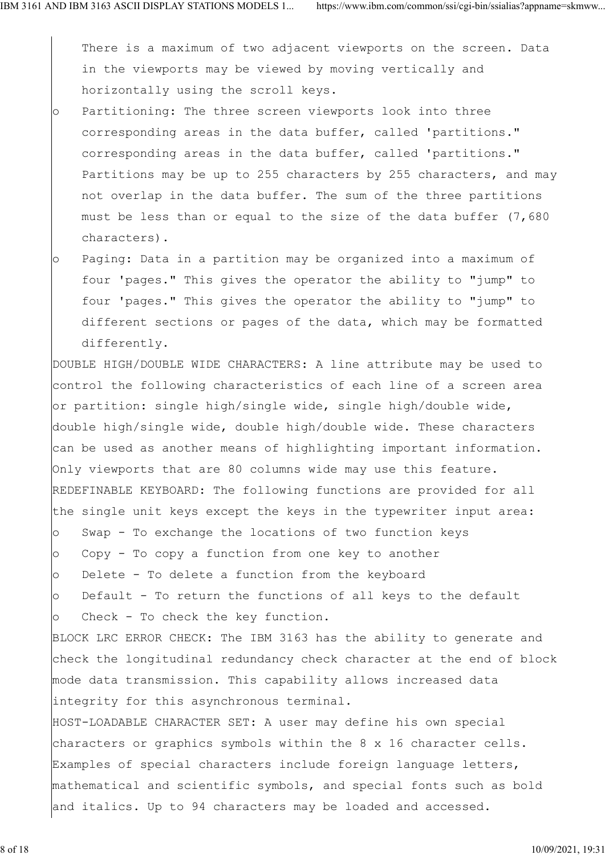There is a maximum of two adjacent viewports on the screen. Data in the viewports may be viewed by moving vertically and horizontally using the scroll keys.

- o Partitioning: The three screen viewports look into three corresponding areas in the data buffer, called 'partitions." corresponding areas in the data buffer, called 'partitions." Partitions may be up to 255 characters by 255 characters, and may not overlap in the data buffer. The sum of the three partitions must be less than or equal to the size of the data buffer (7,680 characters).
- o Paging: Data in a partition may be organized into a maximum of four 'pages." This gives the operator the ability to "jump" to four 'pages." This gives the operator the ability to "jump" to different sections or pages of the data, which may be formatted differently.

DOUBLE HIGH/DOUBLE WIDE CHARACTERS: A line attribute may be used to control the following characteristics of each line of a screen area or partition: single high/single wide, single high/double wide, double high/single wide, double high/double wide. These characters can be used as another means of highlighting important information. Only viewports that are 80 columns wide may use this feature. REDEFINABLE KEYBOARD: The following functions are provided for all the single unit keys except the keys in the typewriter input area: o Swap - To exchange the locations of two function keys o Copy - To copy a function from one key to another o Delete - To delete a function from the keyboard o Default - To return the functions of all keys to the default o Check - To check the key function. BLOCK LRC ERROR CHECK: The IBM 3163 has the ability to generate and check the longitudinal redundancy check character at the end of block mode data transmission. This capability allows increased data integrity for this asynchronous terminal. HOST-LOADABLE CHARACTER SET: A user may define his own special characters or graphics symbols within the 8 x 16 character cells. Examples of special characters include foreign language letters, mathematical and scientific symbols, and special fonts such as bold and italics. Up to 94 characters may be loaded and accessed.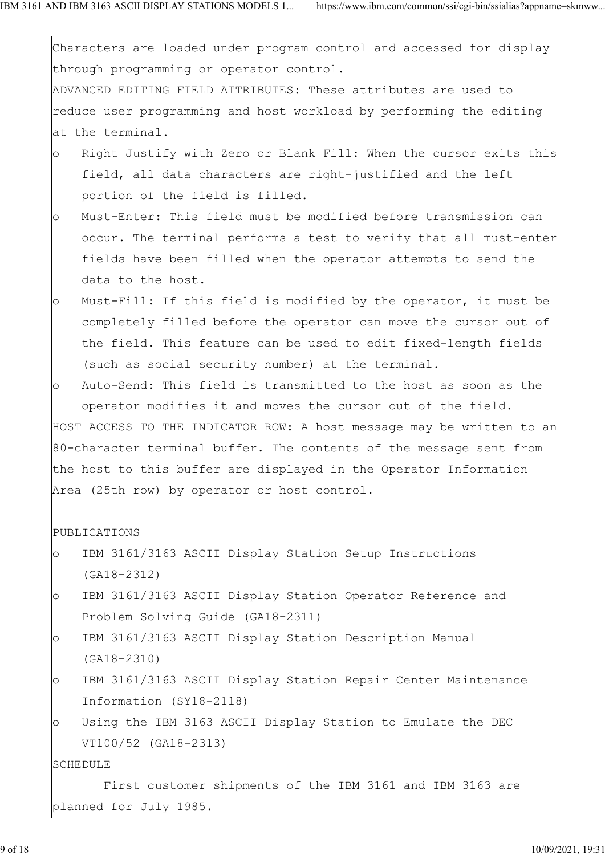Characters are loaded under program control and accessed for display through programming or operator control. ADVANCED EDITING FIELD ATTRIBUTES: These attributes are used to reduce user programming and host workload by performing the editing at the terminal. o Right Justify with Zero or Blank Fill: When the cursor exits this field, all data characters are right-justified and the left portion of the field is filled. o Must-Enter: This field must be modified before transmission can occur. The terminal performs a test to verify that all must-enter fields have been filled when the operator attempts to send the data to the host. o Must-Fill: If this field is modified by the operator, it must be completely filled before the operator can move the cursor out of the field. This feature can be used to edit fixed-length fields (such as social security number) at the terminal. o Auto-Send: This field is transmitted to the host as soon as the operator modifies it and moves the cursor out of the field. HOST ACCESS TO THE INDICATOR ROW: A host message may be written to an 80-character terminal buffer. The contents of the message sent from the host to this buffer are displayed in the Operator Information Area (25th row) by operator or host control. PUBLICATIONS o IBM 3161/3163 ASCII Display Station Setup Instructions (GA18-2312) o IBM 3161/3163 ASCII Display Station Operator Reference and Problem Solving Guide (GA18-2311) o IBM 3161/3163 ASCII Display Station Description Manual (GA18-2310) o IBM 3161/3163 ASCII Display Station Repair Center Maintenance Information (SY18-2118) o Using the IBM 3163 ASCII Display Station to Emulate the DEC VT100/52 (GA18-2313) **SCHEDULE**  First customer shipments of the IBM 3161 and IBM 3163 are planned for July 1985.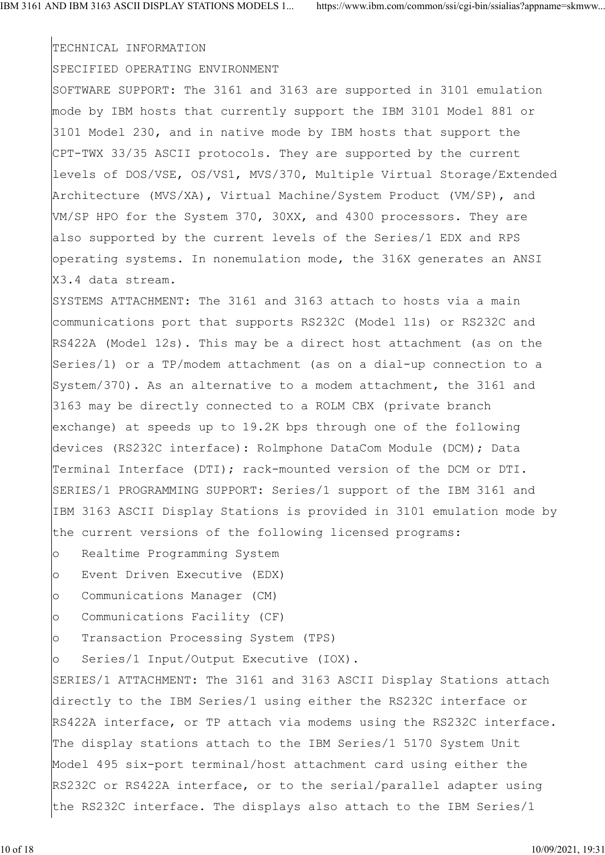### TECHNICAL INFORMATION

### SPECIFIED OPERATING ENVIRONMENT

SOFTWARE SUPPORT: The 3161 and 3163 are supported in 3101 emulation mode by IBM hosts that currently support the IBM 3101 Model 881 or 3101 Model 230, and in native mode by IBM hosts that support the CPT-TWX 33/35 ASCII protocols. They are supported by the current levels of DOS/VSE, OS/VS1, MVS/370, Multiple Virtual Storage/Extended Architecture (MVS/XA), Virtual Machine/System Product (VM/SP), and VM/SP HPO for the System 370, 30XX, and 4300 processors. They are also supported by the current levels of the Series/1 EDX and RPS operating systems. In nonemulation mode, the 316X generates an ANSI X3.4 data stream.

SYSTEMS ATTACHMENT: The 3161 and 3163 attach to hosts via a main communications port that supports RS232C (Model 11s) or RS232C and RS422A (Model 12s). This may be a direct host attachment (as on the Series/1) or a TP/modem attachment (as on a dial-up connection to a System/370). As an alternative to a modem attachment, the 3161 and 3163 may be directly connected to a ROLM CBX (private branch exchange) at speeds up to 19.2K bps through one of the following devices (RS232C interface): Rolmphone DataCom Module (DCM); Data Terminal Interface (DTI); rack-mounted version of the DCM or DTI. SERIES/1 PROGRAMMING SUPPORT: Series/1 support of the IBM 3161 and IBM 3163 ASCII Display Stations is provided in 3101 emulation mode by the current versions of the following licensed programs:

- o Realtime Programming System
- o Event Driven Executive (EDX)
- o Communications Manager (CM)
- o Communications Facility (CF)
- o Transaction Processing System (TPS)
- o Series/1 Input/Output Executive (IOX).

SERIES/1 ATTACHMENT: The 3161 and 3163 ASCII Display Stations attach directly to the IBM Series/1 using either the RS232C interface or RS422A interface, or TP attach via modems using the RS232C interface. The display stations attach to the IBM Series/1 5170 System Unit Model 495 six-port terminal/host attachment card using either the RS232C or RS422A interface, or to the serial/parallel adapter using the RS232C interface. The displays also attach to the IBM Series/1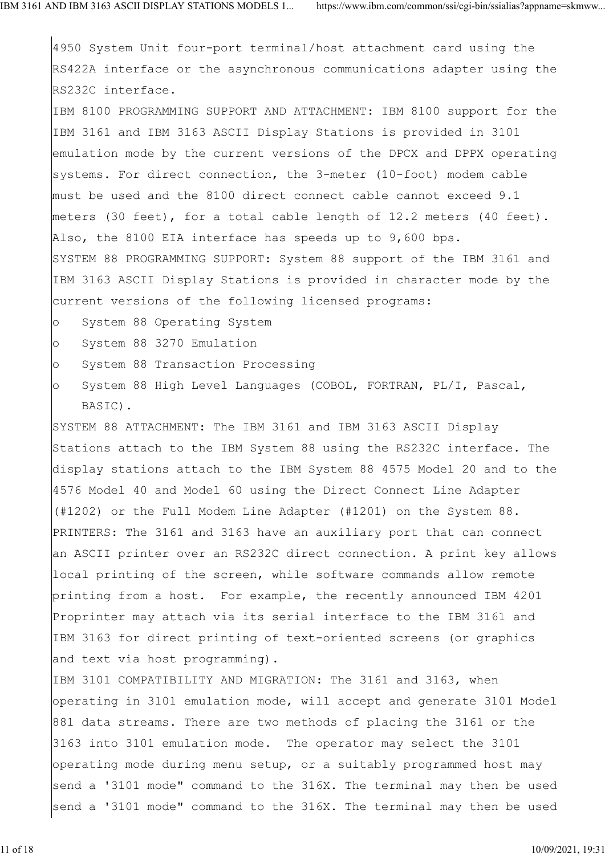4950 System Unit four-port terminal/host attachment card using the RS422A interface or the asynchronous communications adapter using the RS232C interface.

IBM 8100 PROGRAMMING SUPPORT AND ATTACHMENT: IBM 8100 support for the IBM 3161 and IBM 3163 ASCII Display Stations is provided in 3101 emulation mode by the current versions of the DPCX and DPPX operating systems. For direct connection, the 3-meter (10-foot) modem cable must be used and the 8100 direct connect cable cannot exceed 9.1 meters (30 feet), for a total cable length of 12.2 meters (40 feet). Also, the 8100 EIA interface has speeds up to 9,600 bps. SYSTEM 88 PROGRAMMING SUPPORT: System 88 support of the IBM 3161 and IBM 3163 ASCII Display Stations is provided in character mode by the current versions of the following licensed programs:

- o System 88 Operating System
- o System 88 3270 Emulation
- o System 88 Transaction Processing
- o System 88 High Level Languages (COBOL, FORTRAN, PL/I, Pascal, BASIC).

SYSTEM 88 ATTACHMENT: The IBM 3161 and IBM 3163 ASCII Display Stations attach to the IBM System 88 using the RS232C interface. The display stations attach to the IBM System 88 4575 Model 20 and to the 4576 Model 40 and Model 60 using the Direct Connect Line Adapter (#1202) or the Full Modem Line Adapter (#1201) on the System 88. PRINTERS: The 3161 and 3163 have an auxiliary port that can connect an ASCII printer over an RS232C direct connection. A print key allows local printing of the screen, while software commands allow remote printing from a host. For example, the recently announced IBM 4201 Proprinter may attach via its serial interface to the IBM 3161 and IBM 3163 for direct printing of text-oriented screens (or graphics and text via host programming).

IBM 3101 COMPATIBILITY AND MIGRATION: The 3161 and 3163, when operating in 3101 emulation mode, will accept and generate 3101 Model 881 data streams. There are two methods of placing the 3161 or the 3163 into 3101 emulation mode. The operator may select the 3101 operating mode during menu setup, or a suitably programmed host may send a '3101 mode" command to the 316X. The terminal may then be used send a '3101 mode" command to the 316X. The terminal may then be used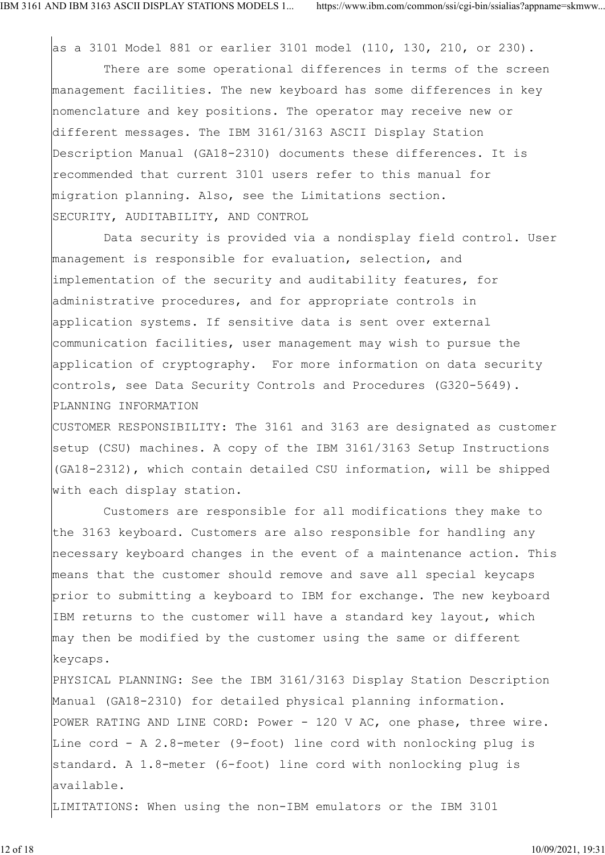as a 3101 Model 881 or earlier 3101 model (110, 130, 210, or 230).

 There are some operational differences in terms of the screen management facilities. The new keyboard has some differences in key nomenclature and key positions. The operator may receive new or different messages. The IBM 3161/3163 ASCII Display Station Description Manual (GA18-2310) documents these differences. It is recommended that current 3101 users refer to this manual for migration planning. Also, see the Limitations section. SECURITY, AUDITABILITY, AND CONTROL

 Data security is provided via a nondisplay field control. User management is responsible for evaluation, selection, and implementation of the security and auditability features, for administrative procedures, and for appropriate controls in application systems. If sensitive data is sent over external communication facilities, user management may wish to pursue the application of cryptography. For more information on data security controls, see Data Security Controls and Procedures (G320-5649). PLANNING INFORMATION

CUSTOMER RESPONSIBILITY: The 3161 and 3163 are designated as customer setup (CSU) machines. A copy of the IBM 3161/3163 Setup Instructions (GA18-2312), which contain detailed CSU information, will be shipped with each display station.

 Customers are responsible for all modifications they make to the 3163 keyboard. Customers are also responsible for handling any necessary keyboard changes in the event of a maintenance action. This means that the customer should remove and save all special keycaps prior to submitting a keyboard to IBM for exchange. The new keyboard IBM returns to the customer will have a standard key layout, which may then be modified by the customer using the same or different keycaps.

PHYSICAL PLANNING: See the IBM 3161/3163 Display Station Description Manual (GA18-2310) for detailed physical planning information. POWER RATING AND LINE CORD: Power - 120 V AC, one phase, three wire. Line cord - A 2.8-meter (9-foot) line cord with nonlocking plug is standard. A 1.8-meter (6-foot) line cord with nonlocking plug is available.

LIMITATIONS: When using the non-IBM emulators or the IBM 3101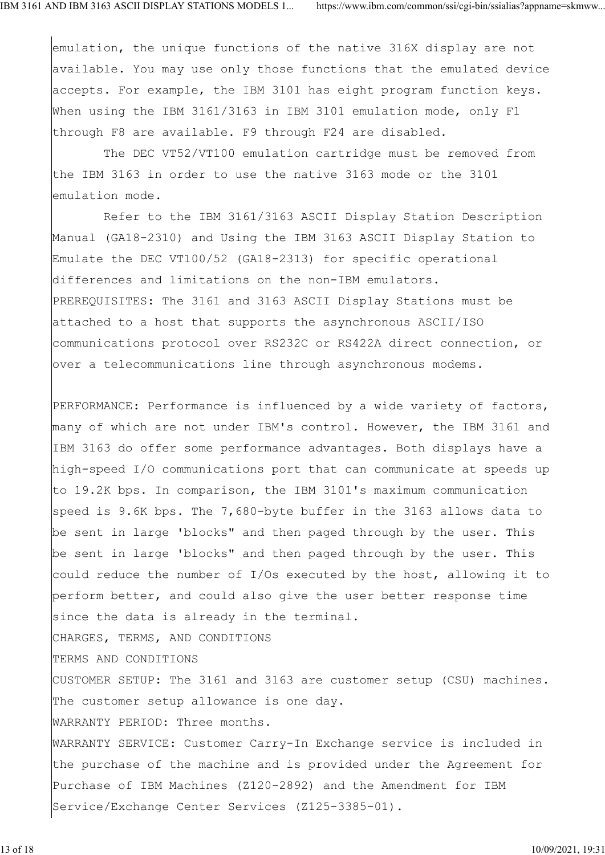emulation, the unique functions of the native 316X display are not available. You may use only those functions that the emulated device accepts. For example, the IBM 3101 has eight program function keys. When using the IBM 3161/3163 in IBM 3101 emulation mode, only F1 through F8 are available. F9 through F24 are disabled.

 The DEC VT52/VT100 emulation cartridge must be removed from the IBM 3163 in order to use the native 3163 mode or the 3101 emulation mode.

 Refer to the IBM 3161/3163 ASCII Display Station Description Manual (GA18-2310) and Using the IBM 3163 ASCII Display Station to Emulate the DEC VT100/52 (GA18-2313) for specific operational differences and limitations on the non-IBM emulators. PREREQUISITES: The 3161 and 3163 ASCII Display Stations must be attached to a host that supports the asynchronous ASCII/ISO communications protocol over RS232C or RS422A direct connection, or over a telecommunications line through asynchronous modems.

PERFORMANCE: Performance is influenced by a wide variety of factors, many of which are not under IBM's control. However, the IBM 3161 and IBM 3163 do offer some performance advantages. Both displays have a high-speed I/O communications port that can communicate at speeds up to 19.2K bps. In comparison, the IBM 3101's maximum communication speed is 9.6K bps. The 7,680-byte buffer in the 3163 allows data to be sent in large 'blocks" and then paged through by the user. This be sent in large 'blocks" and then paged through by the user. This could reduce the number of I/Os executed by the host, allowing it to perform better, and could also give the user better response time since the data is already in the terminal. CHARGES, TERMS, AND CONDITIONS

TERMS AND CONDITIONS

CUSTOMER SETUP: The 3161 and 3163 are customer setup (CSU) machines. The customer setup allowance is one day.

WARRANTY PERIOD: Three months.

WARRANTY SERVICE: Customer Carry-In Exchange service is included in the purchase of the machine and is provided under the Agreement for Purchase of IBM Machines (Z120-2892) and the Amendment for IBM Service/Exchange Center Services (Z125-3385-01).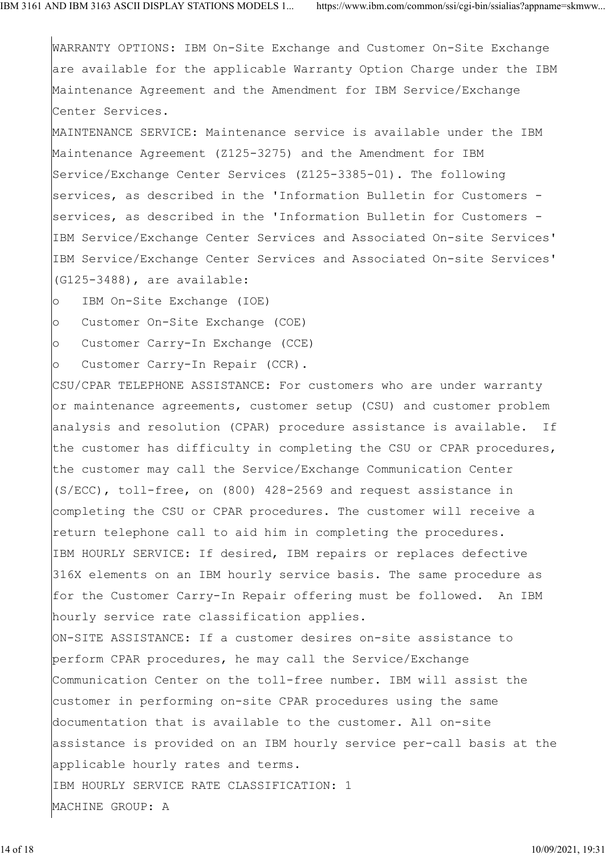WARRANTY OPTIONS: IBM On-Site Exchange and Customer On-Site Exchange are available for the applicable Warranty Option Charge under the IBM Maintenance Agreement and the Amendment for IBM Service/Exchange Center Services.

MAINTENANCE SERVICE: Maintenance service is available under the IBM Maintenance Agreement (Z125-3275) and the Amendment for IBM Service/Exchange Center Services (Z125-3385-01). The following services, as described in the 'Information Bulletin for Customers services, as described in the 'Information Bulletin for Customers - IBM Service/Exchange Center Services and Associated On-site Services' IBM Service/Exchange Center Services and Associated On-site Services' (G125-3488), are available:

o IBM On-Site Exchange (IOE)

o Customer On-Site Exchange (COE)

o Customer Carry-In Exchange (CCE)

o Customer Carry-In Repair (CCR).

CSU/CPAR TELEPHONE ASSISTANCE: For customers who are under warranty or maintenance agreements, customer setup (CSU) and customer problem analysis and resolution (CPAR) procedure assistance is available. If the customer has difficulty in completing the CSU or CPAR procedures, the customer may call the Service/Exchange Communication Center (S/ECC), toll-free, on (800) 428-2569 and request assistance in completing the CSU or CPAR procedures. The customer will receive a return telephone call to aid him in completing the procedures. IBM HOURLY SERVICE: If desired, IBM repairs or replaces defective 316X elements on an IBM hourly service basis. The same procedure as for the Customer Carry-In Repair offering must be followed. An IBM hourly service rate classification applies. ON-SITE ASSISTANCE: If a customer desires on-site assistance to

perform CPAR procedures, he may call the Service/Exchange Communication Center on the toll-free number. IBM will assist the customer in performing on-site CPAR procedures using the same documentation that is available to the customer. All on-site assistance is provided on an IBM hourly service per-call basis at the applicable hourly rates and terms. IBM HOURLY SERVICE RATE CLASSIFICATION: 1 MACHINE GROUP: A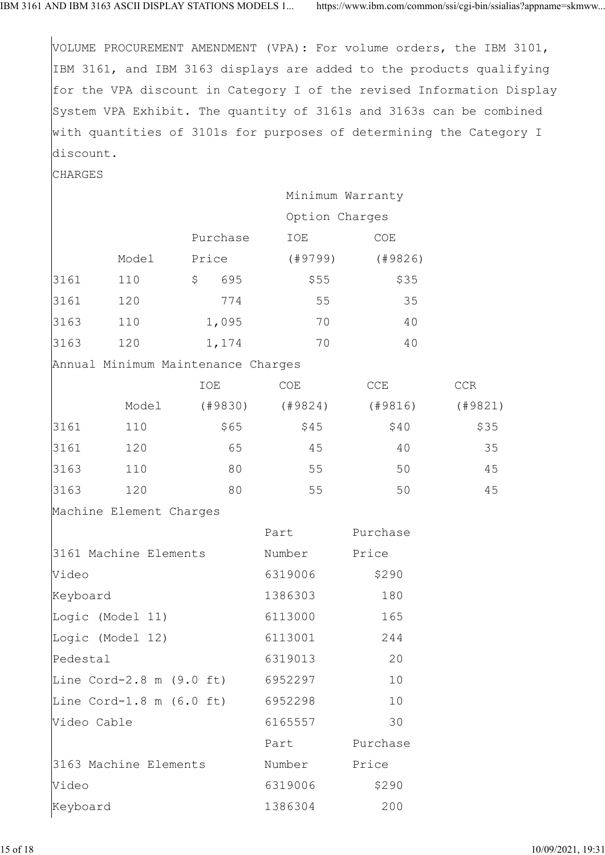|                                  |                         |                                    |                |                  | VOLUME PROCUREMENT AMENDMENT (VPA): For volume orders, the IBM 3101,  |
|----------------------------------|-------------------------|------------------------------------|----------------|------------------|-----------------------------------------------------------------------|
|                                  |                         |                                    |                |                  | IBM 3161, and IBM 3163 displays are added to the products qualifying  |
|                                  |                         |                                    |                |                  | for the VPA discount in Category I of the revised Information Display |
|                                  |                         |                                    |                |                  | System VPA Exhibit. The quantity of 3161s and 3163s can be combined   |
|                                  |                         |                                    |                |                  | with quantities of 3101s for purposes of determining the Category I   |
| discount.                        |                         |                                    |                |                  |                                                                       |
| CHARGES                          |                         |                                    |                |                  |                                                                       |
|                                  |                         |                                    |                | Minimum Warranty |                                                                       |
|                                  |                         |                                    | Option Charges |                  |                                                                       |
|                                  |                         | Purchase                           | IOE            | COE              |                                                                       |
|                                  | Model                   | Price                              | (#9799)        | (19826)          |                                                                       |
| 3161                             | 110                     | $\mathsf{S}$<br>695                | \$55           | \$35             |                                                                       |
| 3161                             | 120                     | 774                                | 55             | 35               |                                                                       |
| 3163                             | 110                     | 1,095                              | 70             | 40               |                                                                       |
| 3163                             | 120                     | 1,174                              | 70             | 40               |                                                                       |
|                                  |                         | Annual Minimum Maintenance Charges |                |                  |                                                                       |
|                                  |                         | IOE                                | COE            | CCE              | CCR                                                                   |
|                                  | Model                   | (49830)                            | (#9824)        | (49816)          | (19821)                                                               |
| 3161                             | 110                     | \$65                               | \$45           | \$40             | \$35                                                                  |
| 3161                             | 120                     | 65                                 | 45             | 40               | 35                                                                    |
| 3163                             | 110                     | 80                                 | 55             | 50               | 45                                                                    |
| 3163                             | 120                     | 80                                 | 55             | 50               | 45                                                                    |
|                                  | Machine Element Charges |                                    |                |                  |                                                                       |
|                                  |                         |                                    | Part           | Purchase         |                                                                       |
|                                  | 3161 Machine Elements   |                                    | Number         | Price            |                                                                       |
| Video                            |                         |                                    | 6319006        | \$290            |                                                                       |
| Keyboard                         |                         |                                    | 1386303        | 180              |                                                                       |
|                                  | Logic (Model 11)        |                                    | 6113000        | 165              |                                                                       |
|                                  | Logic (Model 12)        |                                    | 6113001        | 244              |                                                                       |
| Pedestal                         |                         |                                    | 6319013        | 20               |                                                                       |
| Line Cord-2.8 m (9.0 ft) 6952297 |                         |                                    |                | 10               |                                                                       |
|                                  |                         | Line Cord-1.8 m (6.0 ft) 6952298   |                | 10               |                                                                       |
| Video Cable                      |                         |                                    | 6165557        | 30               |                                                                       |
|                                  |                         |                                    | Part           | Purchase         |                                                                       |
| 3163 Machine Elements            |                         |                                    | Number         | Price            |                                                                       |
| Video                            |                         |                                    | 6319006        | \$290            |                                                                       |
| Keyboard                         |                         |                                    | 1386304        | 200              |                                                                       |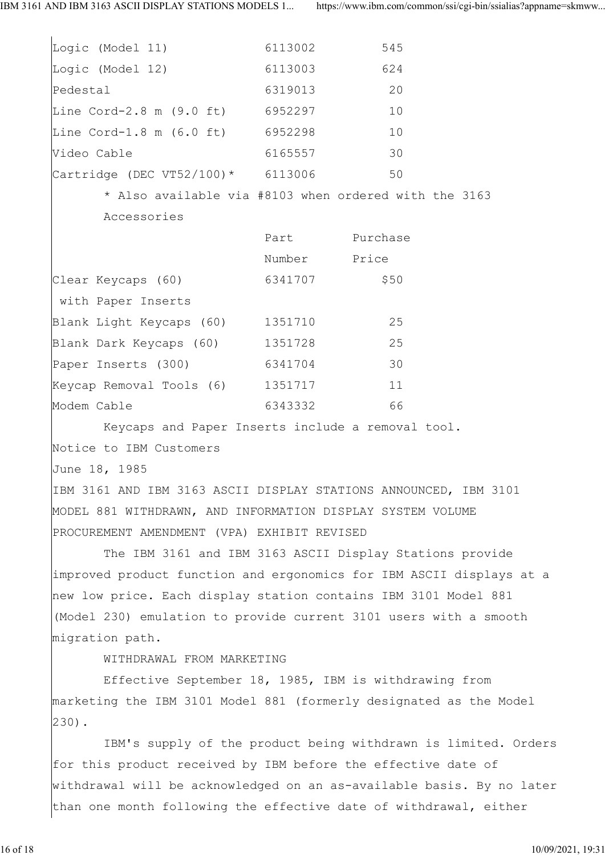$\overline{1}$ 

| Logic (Model 11)                                                 | 6113002      | 545           |  |
|------------------------------------------------------------------|--------------|---------------|--|
| Logic (Model 12) 6113003                                         |              | 624           |  |
| Pedestal                                                         | 6319013      | 20            |  |
| Line Cord-2.8 m (9.0 ft) 6952297                                 |              | 10            |  |
| Line Cord-1.8 m (6.0 ft) 6952298                                 |              | 10            |  |
| Video Cable                                                      | 6165557      | 30            |  |
| $\text{Cartridge}$ (DEC VT52/100) * 6113006                      |              | 50            |  |
| * Also available via #8103 when ordered with the 3163            |              |               |  |
| Accessories                                                      |              |               |  |
|                                                                  |              | Part Purchase |  |
|                                                                  | Number Price |               |  |
| Clear Keycaps (60) 6341707                                       |              | \$50          |  |
| with Paper Inserts                                               |              |               |  |
| Blank Light Keycaps (60) 1351710                                 |              | 25            |  |
| Blank Dark Keycaps (60) 1351728                                  |              | 25            |  |
| Paper Inserts (300) 6341704                                      |              | 30            |  |
| Keycap Removal Tools (6) 1351717                                 |              | 11            |  |
| Modem Cable                                                      | 6343332      | 66            |  |
| Keycaps and Paper Inserts include a removal tool.                |              |               |  |
| Notice to IBM Customers                                          |              |               |  |
| June 18, 1985                                                    |              |               |  |
| IBM 3161 AND IBM 3163 ASCII DISPLAY STATIONS ANNOUNCED, IBM 3101 |              |               |  |
|                                                                  |              |               |  |

MODEL 881 WITHDRAWN, AND INFORMATION DISPLAY SYSTEM VOLUME PROCUREMENT AMENDMENT (VPA) EXHIBIT REVISED

 The IBM 3161 and IBM 3163 ASCII Display Stations provide improved product function and ergonomics for IBM ASCII displays at a new low price. Each display station contains IBM 3101 Model 881 (Model 230) emulation to provide current 3101 users with a smooth migration path.

WITHDRAWAL FROM MARKETING

 Effective September 18, 1985, IBM is withdrawing from marketing the IBM 3101 Model 881 (formerly designated as the Model 230).

 IBM's supply of the product being withdrawn is limited. Orders for this product received by IBM before the effective date of withdrawal will be acknowledged on an as-available basis. By no later than one month following the effective date of withdrawal, either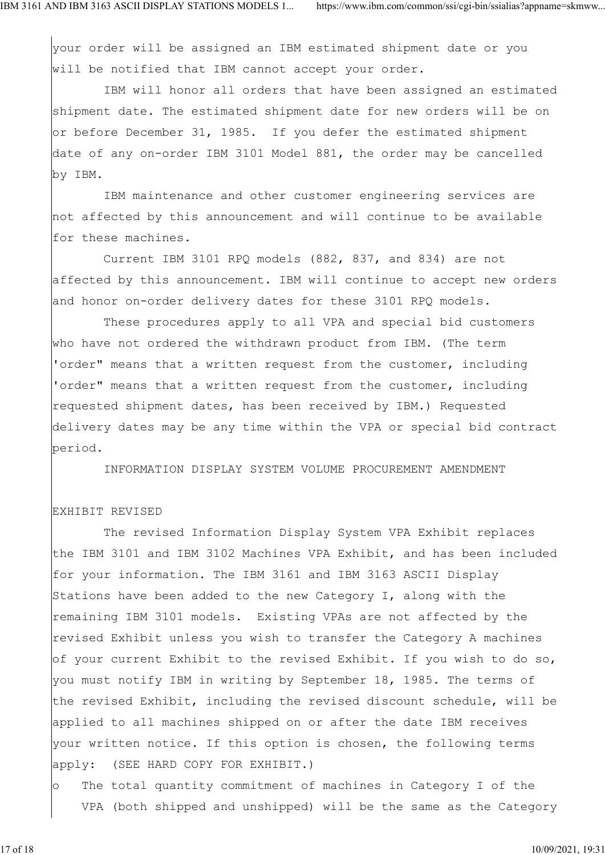your order will be assigned an IBM estimated shipment date or you will be notified that IBM cannot accept your order.

 IBM will honor all orders that have been assigned an estimated shipment date. The estimated shipment date for new orders will be on or before December 31, 1985. If you defer the estimated shipment date of any on-order IBM 3101 Model 881, the order may be cancelled by IBM.

 IBM maintenance and other customer engineering services are not affected by this announcement and will continue to be available for these machines.

 Current IBM 3101 RPQ models (882, 837, and 834) are not affected by this announcement. IBM will continue to accept new orders and honor on-order delivery dates for these 3101 RPQ models.

 These procedures apply to all VPA and special bid customers who have not ordered the withdrawn product from IBM. (The term 'order" means that a written request from the customer, including 'order" means that a written request from the customer, including requested shipment dates, has been received by IBM.) Requested delivery dates may be any time within the VPA or special bid contract period.

INFORMATION DISPLAY SYSTEM VOLUME PROCUREMENT AMENDMENT

## EXHIBIT REVISED

 The revised Information Display System VPA Exhibit replaces the IBM 3101 and IBM 3102 Machines VPA Exhibit, and has been included for your information. The IBM 3161 and IBM 3163 ASCII Display Stations have been added to the new Category I, along with the remaining IBM 3101 models. Existing VPAs are not affected by the revised Exhibit unless you wish to transfer the Category A machines of your current Exhibit to the revised Exhibit. If you wish to do so, you must notify IBM in writing by September 18, 1985. The terms of the revised Exhibit, including the revised discount schedule, will be applied to all machines shipped on or after the date IBM receives your written notice. If this option is chosen, the following terms apply: (SEE HARD COPY FOR EXHIBIT.)

o The total quantity commitment of machines in Category I of the VPA (both shipped and unshipped) will be the same as the Category